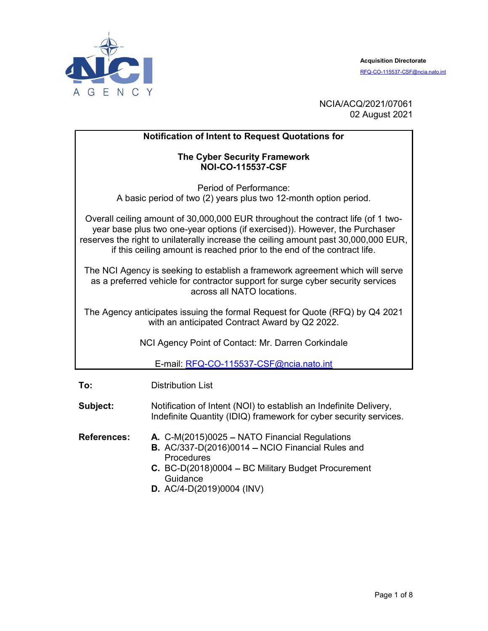

NCIA/ACQ/2021/07061 02 August 2021

#### Notification of Intent to Request Quotations for

#### The Cyber Security Framework NOI-CO-115537-CSF

Period of Performance: A basic period of two (2) years plus two 12-month option period.

Overall ceiling amount of 30,000,000 EUR throughout the contract life (of 1 twoyear base plus two one-year options (if exercised)). However, the Purchaser reserves the right to unilaterally increase the ceiling amount past 30,000,000 EUR, if this ceiling amount is reached prior to the end of the contract life.

The NCI Agency is seeking to establish a framework agreement which will serve as a preferred vehicle for contractor support for surge cyber security services across all NATO locations.

The Agency anticipates issuing the formal Request for Quote (RFQ) by Q4 2021 with an anticipated Contract Award by Q2 2022.

NCI Agency Point of Contact: Mr. Darren Corkindale

E-mail: RFQ-CO-115537-CSF@ncia.nato.int

To: Distribution List

Subject: Notification of Intent (NOI) to establish an Indefinite Delivery, Indefinite Quantity (IDIQ) framework for cyber security services.

References: A. C-M(2015)0025 – NATO Financial Regulations

- **B.** AC/337-D(2016)0014 NCIO Financial Rules and **Procedures**
- $C.$  BC-D(2018)0004 BC Military Budget Procurement **Guidance**
- D. AC/4-D(2019)0004 (INV)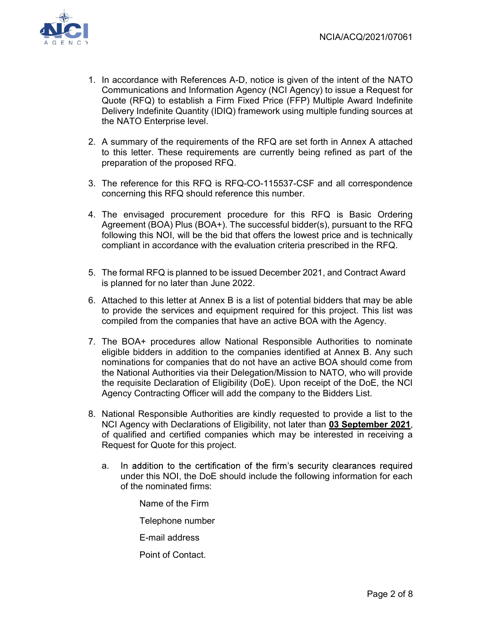

- 1. In accordance with References A-D, notice is given of the intent of the NATO Communications and Information Agency (NCI Agency) to issue a Request for Quote (RFQ) to establish a Firm Fixed Price (FFP) Multiple Award Indefinite Delivery Indefinite Quantity (IDIQ) framework using multiple funding sources at the NATO Enterprise level.
- 2. A summary of the requirements of the RFQ are set forth in Annex A attached to this letter. These requirements are currently being refined as part of the preparation of the proposed RFQ.
- 3. The reference for this RFQ is RFQ-CO-115537-CSF and all correspondence concerning this RFQ should reference this number.
- 4. The envisaged procurement procedure for this RFQ is Basic Ordering Agreement (BOA) Plus (BOA+). The successful bidder(s), pursuant to the RFQ following this NOI, will be the bid that offers the lowest price and is technically compliant in accordance with the evaluation criteria prescribed in the RFQ.
- 5. The formal RFQ is planned to be issued December 2021, and Contract Award is planned for no later than June 2022.
- 6. Attached to this letter at Annex B is a list of potential bidders that may be able to provide the services and equipment required for this project. This list was compiled from the companies that have an active BOA with the Agency.
- 7. The BOA+ procedures allow National Responsible Authorities to nominate eligible bidders in addition to the companies identified at Annex B. Any such nominations for companies that do not have an active BOA should come from the National Authorities via their Delegation/Mission to NATO, who will provide the requisite Declaration of Eligibility (DoE). Upon receipt of the DoE, the NCI Agency Contracting Officer will add the company to the Bidders List.
- 8. National Responsible Authorities are kindly requested to provide a list to the NCI Agency with Declarations of Eligibility, not later than 03 September 2021, of qualified and certified companies which may be interested in receiving a Request for Quote for this project.
	- a. In addition to the certification of the firm's security clearances required under this NOI, the DoE should include the following information for each of the nominated firms:

Name of the Firm Telephone number

E-mail address

Point of Contact.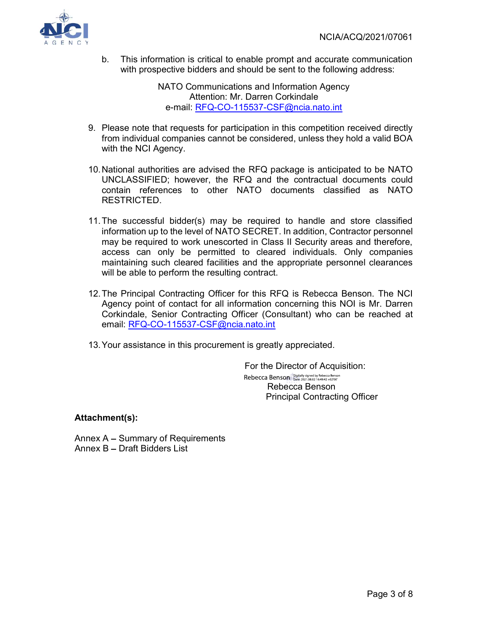

b. This information is critical to enable prompt and accurate communication with prospective bidders and should be sent to the following address:

> NATO Communications and Information Agency Attention: Mr. Darren Corkindale e-mail: RFQ-CO-115537-CSF@ncia.nato.int

- 9. Please note that requests for participation in this competition received directly from individual companies cannot be considered, unless they hold a valid BOA with the NCI Agency.
- 10. National authorities are advised the RFQ package is anticipated to be NATO UNCLASSIFIED; however, the RFQ and the contractual documents could contain references to other NATO documents classified as NATO RESTRICTED.
- 11. The successful bidder(s) may be required to handle and store classified information up to the level of NATO SECRET. In addition, Contractor personnel may be required to work unescorted in Class II Security areas and therefore, access can only be permitted to cleared individuals. Only companies maintaining such cleared facilities and the appropriate personnel clearances will be able to perform the resulting contract.
- 12. The Principal Contracting Officer for this RFQ is Rebecca Benson. The NCI Agency point of contact for all information concerning this NOI is Mr. Darren Corkindale, Senior Contracting Officer (Consultant) who can be reached at email: RFQ-CO-115537-CSF@ncia.nato.int
- 13. Your assistance in this procurement is greatly appreciated.

For the Director of Acquisition: Rebecca Benson Digitally signed by Rebecca Benson Rebecca Benson Principal Contracting Officer

Attachment(s):

Annex  $A -$  Summary of Requirements Annex B - Draft Bidders List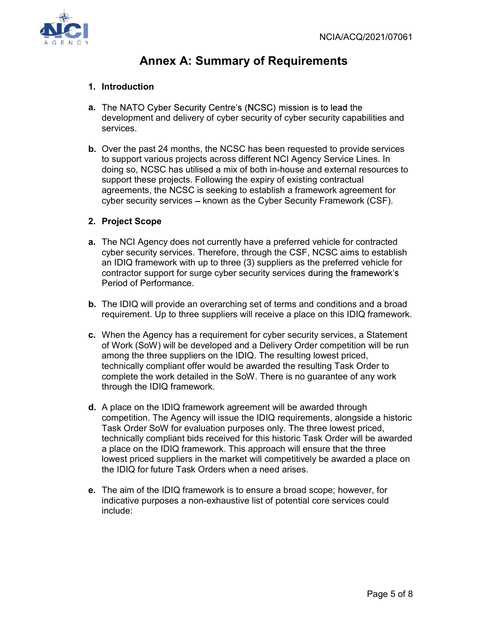

# Annex A: Summary of Requirements

## 1. Introduction

- a. The NATO Cyber Security Centre's (NCSC) mission is to lead the development and delivery of cyber security of cyber security capabilities and services.
- b. Over the past 24 months, the NCSC has been requested to provide services to support various projects across different NCI Agency Service Lines. In doing so, NCSC has utilised a mix of both in-house and external resources to support these projects. Following the expiry of existing contractual agreements, the NCSC is seeking to establish a framework agreement for cyber security services - known as the Cyber Security Framework (CSF).

## 2. Project Scope

- a. The NCI Agency does not currently have a preferred vehicle for contracted cyber security services. Therefore, through the CSF, NCSC aims to establish an IDIQ framework with up to three (3) suppliers as the preferred vehicle for contractor support for surge cyber security services during the framework's Period of Performance.
- b. The IDIQ will provide an overarching set of terms and conditions and a broad requirement. Up to three suppliers will receive a place on this IDIQ framework.
- c. When the Agency has a requirement for cyber security services, a Statement of Work (SoW) will be developed and a Delivery Order competition will be run among the three suppliers on the IDIQ. The resulting lowest priced, technically compliant offer would be awarded the resulting Task Order to complete the work detailed in the SoW. There is no guarantee of any work through the IDIQ framework.
- d. A place on the IDIQ framework agreement will be awarded through competition. The Agency will issue the IDIQ requirements, alongside a historic Task Order SoW for evaluation purposes only. The three lowest priced, technically compliant bids received for this historic Task Order will be awarded a place on the IDIQ framework. This approach will ensure that the three lowest priced suppliers in the market will competitively be awarded a place on the IDIQ for future Task Orders when a need arises.
- e. The aim of the IDIQ framework is to ensure a broad scope; however, for indicative purposes a non-exhaustive list of potential core services could include: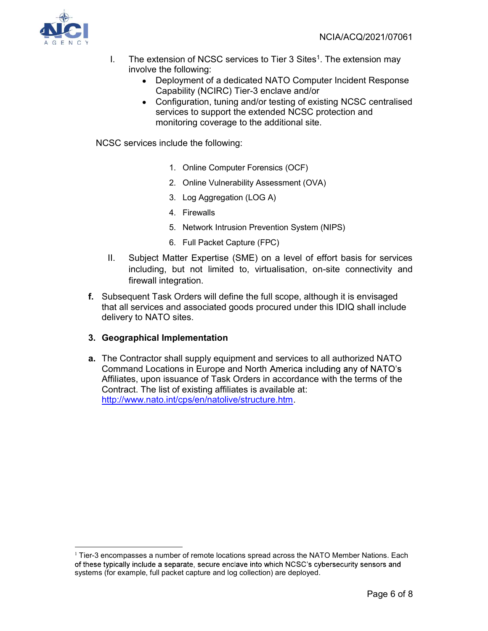

- I. The extension of NCSC services to Tier 3 Sites<sup>1</sup>. The extension may involve the following:
	- Deployment of a dedicated NATO Computer Incident Response Capability (NCIRC) Tier-3 enclave and/or
	- Configuration, tuning and/or testing of existing NCSC centralised services to support the extended NCSC protection and monitoring coverage to the additional site.

NCSC services include the following:

- 1. Online Computer Forensics (OCF)
- 2. Online Vulnerability Assessment (OVA)
- 3. Log Aggregation (LOG A)
- 4. Firewalls
- 5. Network Intrusion Prevention System (NIPS)
- 6. Full Packet Capture (FPC)
- II. Subject Matter Expertise (SME) on a level of effort basis for services including, but not limited to, virtualisation, on-site connectivity and firewall integration.
- f. Subsequent Task Orders will define the full scope, although it is envisaged that all services and associated goods procured under this IDIQ shall include delivery to NATO sites.

#### 3. Geographical Implementation

a. The Contractor shall supply equipment and services to all authorized NATO Command Locations in Europe and North Affiliates, upon issuance of Task Orders in accordance with the terms of the Contract. The list of existing affiliates is available at: http://www.nato.int/cps/en/natolive/structure.htm.

 $1$  Tier-3 encompasses a number of remote locations spread across the NATO Member Nations. Each of these typically include a separate, secure enclave into which NCSC's cybersecurity sensors and systems (for example, full packet capture and log collection) are deployed.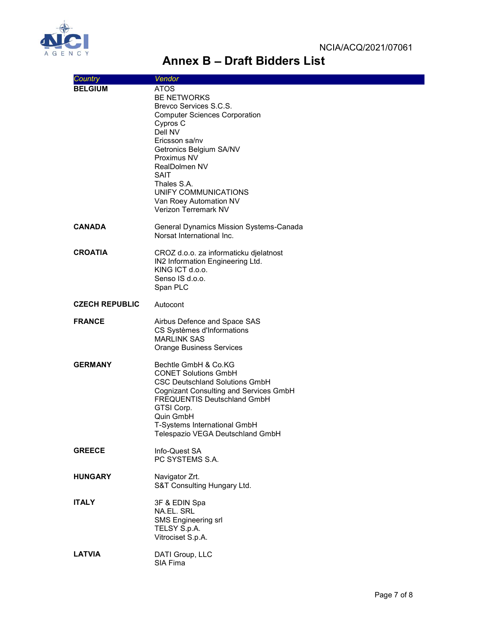

# Annex B - Draft Bidders List

| Country               | Vendor                                                                                                                                                                                                                                                                                                          |
|-----------------------|-----------------------------------------------------------------------------------------------------------------------------------------------------------------------------------------------------------------------------------------------------------------------------------------------------------------|
| <b>BELGIUM</b>        | <b>ATOS</b><br><b>BE NETWORKS</b><br>Brevco Services S.C.S.<br><b>Computer Sciences Corporation</b><br>Cypros C<br>Dell NV<br>Ericsson sa/nv<br>Getronics Belgium SA/NV<br>Proximus NV<br>RealDolmen NV<br>SAIT<br>Thales S.A.<br>UNIFY COMMUNICATIONS<br>Van Roey Automation NV<br><b>Verizon Terremark NV</b> |
| <b>CANADA</b>         | General Dynamics Mission Systems-Canada<br>Norsat International Inc.                                                                                                                                                                                                                                            |
| <b>CROATIA</b>        | CROZ d.o.o. za informaticku djelatnost<br>IN2 Information Engineering Ltd.<br>KING ICT d.o.o.<br>Senso IS d.o.o.<br>Span PLC                                                                                                                                                                                    |
| <b>CZECH REPUBLIC</b> | Autocont                                                                                                                                                                                                                                                                                                        |
| <b>FRANCE</b>         | Airbus Defence and Space SAS<br>CS Systèmes d'Informations<br><b>MARLINK SAS</b><br><b>Orange Business Services</b>                                                                                                                                                                                             |
| <b>GERMANY</b>        | Bechtle GmbH & Co.KG<br><b>CONET Solutions GmbH</b><br><b>CSC Deutschland Solutions GmbH</b><br>Cognizant Consulting and Services GmbH<br><b>FREQUENTIS Deutschland GmbH</b><br>GTSI Corp.<br>Quin GmbH<br>T-Systems International GmbH<br>Telespazio VEGA Deutschland GmbH                                     |
| <b>GREECE</b>         | Info-Quest SA<br>PC SYSTEMS S.A.                                                                                                                                                                                                                                                                                |
| <b>HUNGARY</b>        | Navigator Zrt.<br>S&T Consulting Hungary Ltd.                                                                                                                                                                                                                                                                   |
| <b>ITALY</b>          | 3F & EDIN Spa<br>NA.EL. SRL<br><b>SMS Engineering srl</b><br>TELSY S.p.A.<br>Vitrociset S.p.A.                                                                                                                                                                                                                  |
| <b>LATVIA</b>         | DATI Group, LLC<br>SIA Fima                                                                                                                                                                                                                                                                                     |